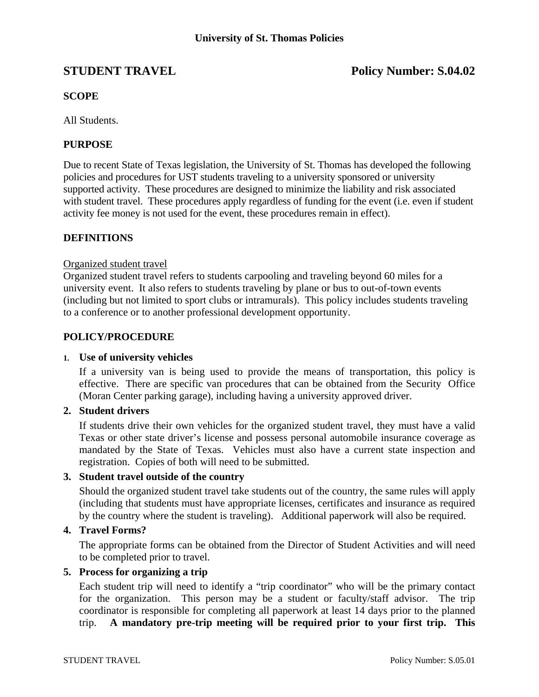# **STUDENT TRAVEL Policy Number: S.04.02**

# **SCOPE**

All Students.

# **PURPOSE**

Due to recent State of Texas legislation, the University of St. Thomas has developed the following policies and procedures for UST students traveling to a university sponsored or university supported activity. These procedures are designed to minimize the liability and risk associated with student travel. These procedures apply regardless of funding for the event (i.e. even if student activity fee money is not used for the event, these procedures remain in effect).

# **DEFINITIONS**

# Organized student travel

Organized student travel refers to students carpooling and traveling beyond 60 miles for a university event. It also refers to students traveling by plane or bus to out-of-town events (including but not limited to sport clubs or intramurals). This policy includes students traveling to a conference or to another professional development opportunity.

# **POLICY/PROCEDURE**

### **1. Use of university vehicles**

 If a university van is being used to provide the means of transportation, this policy is effective. There are specific van procedures that can be obtained from the Security Office (Moran Center parking garage), including having a university approved driver.

# **2. Student drivers**

 If students drive their own vehicles for the organized student travel, they must have a valid Texas or other state driver's license and possess personal automobile insurance coverage as mandated by the State of Texas. Vehicles must also have a current state inspection and registration. Copies of both will need to be submitted.

# **3. Student travel outside of the country**

 Should the organized student travel take students out of the country, the same rules will apply (including that students must have appropriate licenses, certificates and insurance as required by the country where the student is traveling). Additional paperwork will also be required.

# **4. Travel Forms?**

 The appropriate forms can be obtained from the Director of Student Activities and will need to be completed prior to travel.

### **5. Process for organizing a trip**

 Each student trip will need to identify a "trip coordinator" who will be the primary contact for the organization. This person may be a student or faculty/staff advisor. The trip coordinator is responsible for completing all paperwork at least 14 days prior to the planned trip. **A mandatory pre-trip meeting will be required prior to your first trip. This**